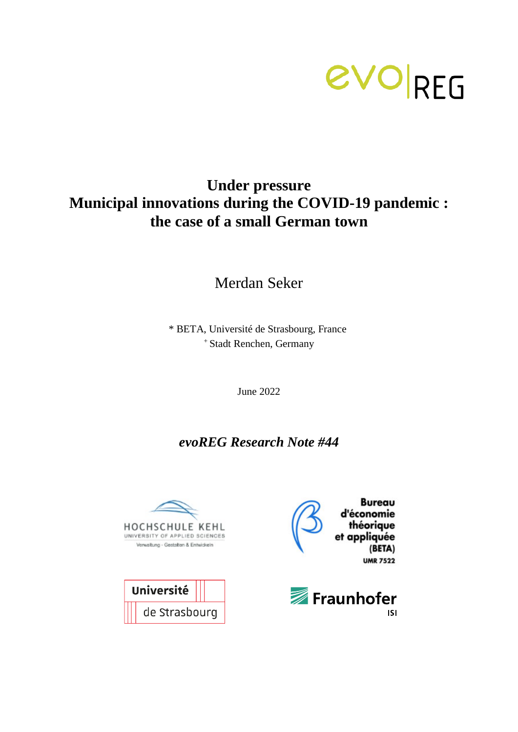

# **Under pressure Municipal innovations during the COVID-19 pandemic : the case of a small German town**

Merdan Seker

\* BETA, Université de Strasbourg, France <sup>+</sup> Stadt Renchen, Germany

June 2022

## *evoREG Research Note #44*





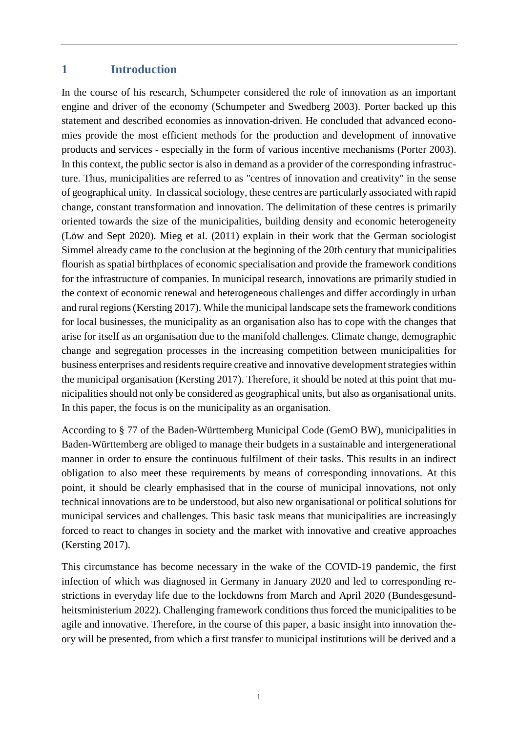#### **1 Introduction**

In the course of his research, Schumpeter considered the role of innovation as an important engine and driver of the economy (Schumpeter and Swedberg 2003). Porter backed up this statement and described economies as innovation-driven. He concluded that advanced economies provide the most efficient methods for the production and development of innovative products and services - especially in the form of various incentive mechanisms (Porter 2003). In this context, the public sector is also in demand as a provider of the corresponding infrastructure. Thus, municipalities are referred to as "centres of innovation and creativity" in the sense of geographical unity. In classical sociology, these centres are particularly associated with rapid change, constant transformation and innovation. The delimitation of these centres is primarily oriented towards the size of the municipalities, building density and economic heterogeneity (Löw and Sept 2020). Mieg et al. (2011) explain in their work that the German sociologist Simmel already came to the conclusion at the beginning of the 20th century that municipalities flourish as spatial birthplaces of economic specialisation and provide the framework conditions for the infrastructure of companies. In municipal research, innovations are primarily studied in the context of economic renewal and heterogeneous challenges and differ accordingly in urban and rural regions (Kersting 2017). While the municipal landscape sets the framework conditions for local businesses, the municipality as an organisation also has to cope with the changes that arise for itself as an organisation due to the manifold challenges. Climate change, demographic change and segregation processes in the increasing competition between municipalities for business enterprises and residents require creative and innovative development strategies within the municipal organisation (Kersting 2017). Therefore, it should be noted at this point that municipalities should not only be considered as geographical units, but also as organisational units. In this paper, the focus is on the municipality as an organisation.

According to § 77 of the Baden-Württemberg Municipal Code (GemO BW), municipalities in Baden-Württemberg are obliged to manage their budgets in a sustainable and intergenerational manner in order to ensure the continuous fulfilment of their tasks. This results in an indirect obligation to also meet these requirements by means of corresponding innovations. At this point, it should be clearly emphasised that in the course of municipal innovations, not only technical innovations are to be understood, but also new organisational or political solutions for municipal services and challenges. This basic task means that municipalities are increasingly forced to react to changes in society and the market with innovative and creative approaches (Kersting 2017).

This circumstance has become necessary in the wake of the COVID-19 pandemic, the first infection of which was diagnosed in Germany in January 2020 and led to corresponding restrictions in everyday life due to the lockdowns from March and April 2020 (Bundesgesundheitsministerium 2022). Challenging framework conditions thus forced the municipalities to be agile and innovative. Therefore, in the course of this paper, a basic insight into innovation theory will be presented, from which a first transfer to municipal institutions will be derived and a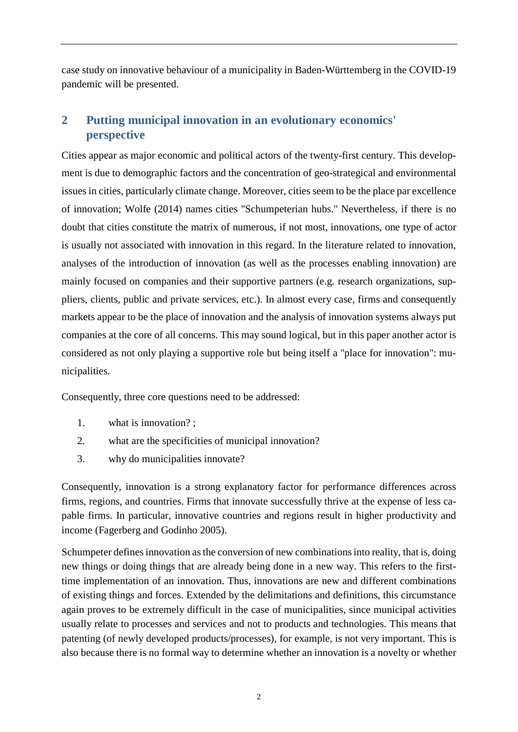case study on innovative behaviour of a municipality in Baden-Württemberg in the COVID-19 pandemic will be presented.

## **2 Putting municipal innovation in an evolutionary economics' perspective**

Cities appear as major economic and political actors of the twenty-first century. This development is due to demographic factors and the concentration of geo-strategical and environmental issues in cities, particularly climate change. Moreover, cities seem to be the place par excellence of innovation; Wolfe (2014) names cities "Schumpeterian hubs." Nevertheless, if there is no doubt that cities constitute the matrix of numerous, if not most, innovations, one type of actor is usually not associated with innovation in this regard. In the literature related to innovation, analyses of the introduction of innovation (as well as the processes enabling innovation) are mainly focused on companies and their supportive partners (e.g. research organizations, suppliers, clients, public and private services, etc.). In almost every case, firms and consequently markets appear to be the place of innovation and the analysis of innovation systems always put companies at the core of all concerns. This may sound logical, but in this paper another actor is considered as not only playing a supportive role but being itself a "place for innovation": municipalities.

Consequently, three core questions need to be addressed:

- 1. what is innovation? ;
- 2. what are the specificities of municipal innovation?
- 3. why do municipalities innovate?

Consequently, innovation is a strong explanatory factor for performance differences across firms, regions, and countries. Firms that innovate successfully thrive at the expense of less capable firms. In particular, innovative countries and regions result in higher productivity and income (Fagerberg and Godinho 2005).

Schumpeter defines innovation as the conversion of new combinations into reality, that is, doing new things or doing things that are already being done in a new way. This refers to the firsttime implementation of an innovation. Thus, innovations are new and different combinations of existing things and forces. Extended by the delimitations and definitions, this circumstance again proves to be extremely difficult in the case of municipalities, since municipal activities usually relate to processes and services and not to products and technologies. This means that patenting (of newly developed products/processes), for example, is not very important. This is also because there is no formal way to determine whether an innovation is a novelty or whether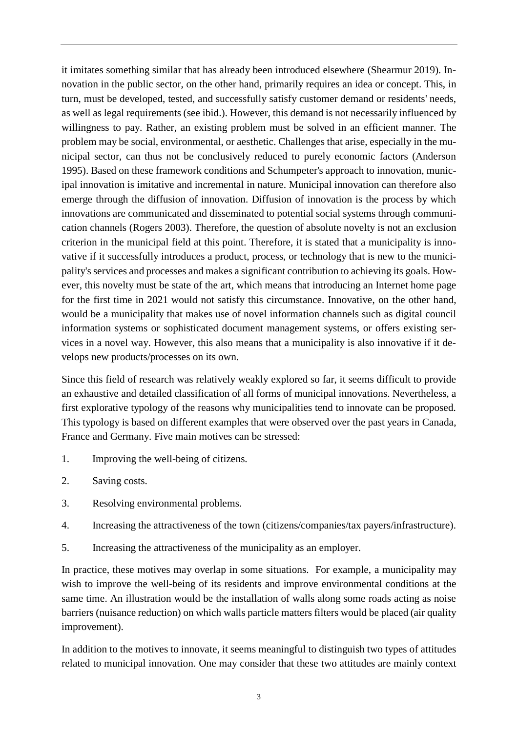it imitates something similar that has already been introduced elsewhere (Shearmur 2019). Innovation in the public sector, on the other hand, primarily requires an idea or concept. This, in turn, must be developed, tested, and successfully satisfy customer demand or residents' needs, as well as legal requirements (see ibid.). However, this demand is not necessarily influenced by willingness to pay. Rather, an existing problem must be solved in an efficient manner. The problem may be social, environmental, or aesthetic. Challenges that arise, especially in the municipal sector, can thus not be conclusively reduced to purely economic factors (Anderson 1995). Based on these framework conditions and Schumpeter's approach to innovation, municipal innovation is imitative and incremental in nature. Municipal innovation can therefore also emerge through the diffusion of innovation. Diffusion of innovation is the process by which innovations are communicated and disseminated to potential social systems through communication channels (Rogers 2003). Therefore, the question of absolute novelty is not an exclusion criterion in the municipal field at this point. Therefore, it is stated that a municipality is innovative if it successfully introduces a product, process, or technology that is new to the municipality's services and processes and makes a significant contribution to achieving its goals. However, this novelty must be state of the art, which means that introducing an Internet home page for the first time in 2021 would not satisfy this circumstance. Innovative, on the other hand, would be a municipality that makes use of novel information channels such as digital council information systems or sophisticated document management systems, or offers existing services in a novel way. However, this also means that a municipality is also innovative if it develops new products/processes on its own.

Since this field of research was relatively weakly explored so far, it seems difficult to provide an exhaustive and detailed classification of all forms of municipal innovations. Nevertheless, a first explorative typology of the reasons why municipalities tend to innovate can be proposed. This typology is based on different examples that were observed over the past years in Canada, France and Germany. Five main motives can be stressed:

- 1. Improving the well-being of citizens.
- 2. Saving costs.
- 3. Resolving environmental problems.
- 4. Increasing the attractiveness of the town (citizens/companies/tax payers/infrastructure).
- 5. Increasing the attractiveness of the municipality as an employer.

In practice, these motives may overlap in some situations. For example, a municipality may wish to improve the well-being of its residents and improve environmental conditions at the same time. An illustration would be the installation of walls along some roads acting as noise barriers (nuisance reduction) on which walls particle matters filters would be placed (air quality improvement).

In addition to the motives to innovate, it seems meaningful to distinguish two types of attitudes related to municipal innovation. One may consider that these two attitudes are mainly context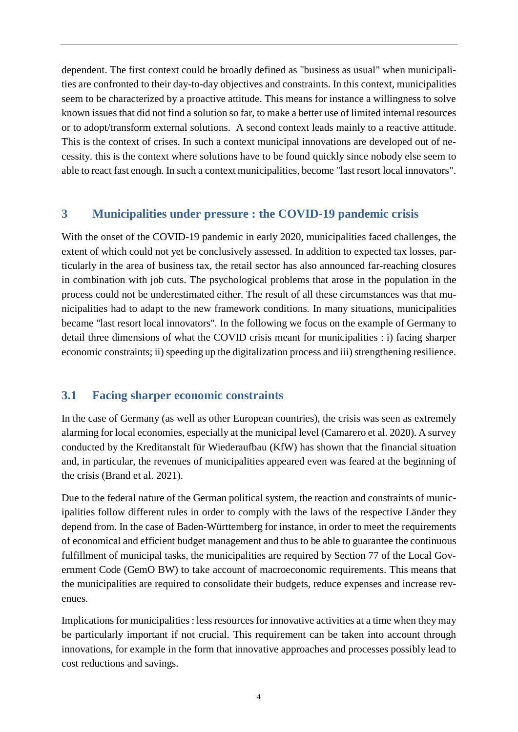dependent. The first context could be broadly defined as "business as usual" when municipalities are confronted to their day-to-day objectives and constraints. In this context, municipalities seem to be characterized by a proactive attitude. This means for instance a willingness to solve known issues that did not find a solution so far, to make a better use of limited internal resources or to adopt/transform external solutions. A second context leads mainly to a reactive attitude. This is the context of crises. In such a context municipal innovations are developed out of necessity. this is the context where solutions have to be found quickly since nobody else seem to able to react fast enough. In such a context municipalities, become "last resort local innovators".

#### **3 Municipalities under pressure : the COVID-19 pandemic crisis**

With the onset of the COVID-19 pandemic in early 2020, municipalities faced challenges, the extent of which could not yet be conclusively assessed. In addition to expected tax losses, particularly in the area of business tax, the retail sector has also announced far-reaching closures in combination with job cuts. The psychological problems that arose in the population in the process could not be underestimated either. The result of all these circumstances was that municipalities had to adapt to the new framework conditions. In many situations, municipalities became "last resort local innovators". In the following we focus on the example of Germany to detail three dimensions of what the COVID crisis meant for municipalities : i) facing sharper economic constraints; ii) speeding up the digitalization process and iii) strengthening resilience.

#### **3.1 Facing sharper economic constraints**

In the case of Germany (as well as other European countries), the crisis was seen as extremely alarming for local economies, especially at the municipal level (Camarero et al. 2020). A survey conducted by the Kreditanstalt für Wiederaufbau (KfW) has shown that the financial situation and, in particular, the revenues of municipalities appeared even was feared at the beginning of the crisis (Brand et al. 2021).

Due to the federal nature of the German political system, the reaction and constraints of municipalities follow different rules in order to comply with the laws of the respective Länder they depend from. In the case of Baden-Württemberg for instance, in order to meet the requirements of economical and efficient budget management and thus to be able to guarantee the continuous fulfillment of municipal tasks, the municipalities are required by Section 77 of the Local Government Code (GemO BW) to take account of macroeconomic requirements. This means that the municipalities are required to consolidate their budgets, reduce expenses and increase revenues.

Implications for municipalities : less resources for innovative activities at a time when they may be particularly important if not crucial. This requirement can be taken into account through innovations, for example in the form that innovative approaches and processes possibly lead to cost reductions and savings.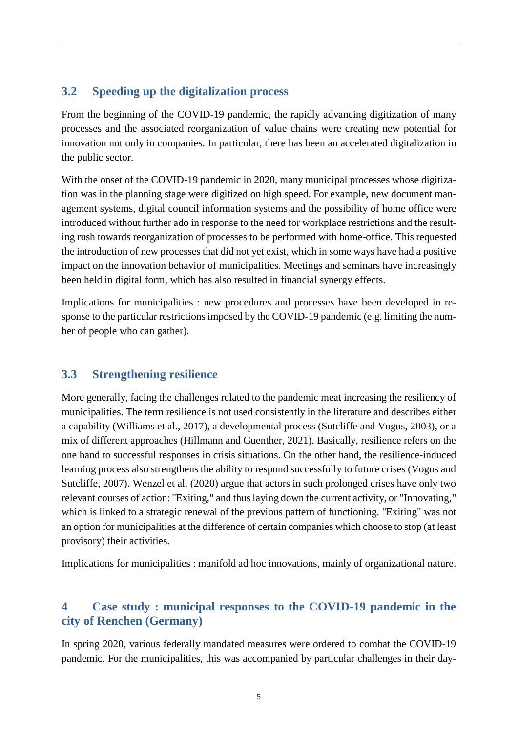## **3.2 Speeding up the digitalization process**

From the beginning of the COVID-19 pandemic, the rapidly advancing digitization of many processes and the associated reorganization of value chains were creating new potential for innovation not only in companies. In particular, there has been an accelerated digitalization in the public sector.

With the onset of the COVID-19 pandemic in 2020, many municipal processes whose digitization was in the planning stage were digitized on high speed. For example, new document management systems, digital council information systems and the possibility of home office were introduced without further ado in response to the need for workplace restrictions and the resulting rush towards reorganization of processes to be performed with home-office. This requested the introduction of new processes that did not yet exist, which in some ways have had a positive impact on the innovation behavior of municipalities. Meetings and seminars have increasingly been held in digital form, which has also resulted in financial synergy effects.

Implications for municipalities : new procedures and processes have been developed in response to the particular restrictions imposed by the COVID-19 pandemic (e.g. limiting the number of people who can gather).

#### **3.3 Strengthening resilience**

More generally, facing the challenges related to the pandemic meat increasing the resiliency of municipalities. The term resilience is not used consistently in the literature and describes either a capability (Williams et al., 2017), a developmental process (Sutcliffe and Vogus, 2003), or a mix of different approaches (Hillmann and Guenther, 2021). Basically, resilience refers on the one hand to successful responses in crisis situations. On the other hand, the resilience-induced learning process also strengthens the ability to respond successfully to future crises (Vogus and Sutcliffe, 2007). Wenzel et al. (2020) argue that actors in such prolonged crises have only two relevant courses of action: "Exiting," and thus laying down the current activity, or "Innovating," which is linked to a strategic renewal of the previous pattern of functioning. "Exiting" was not an option for municipalities at the difference of certain companies which choose to stop (at least provisory) their activities.

Implications for municipalities : manifold ad hoc innovations, mainly of organizational nature.

## **4 Case study : municipal responses to the COVID-19 pandemic in the city of Renchen (Germany)**

In spring 2020, various federally mandated measures were ordered to combat the COVID-19 pandemic. For the municipalities, this was accompanied by particular challenges in their day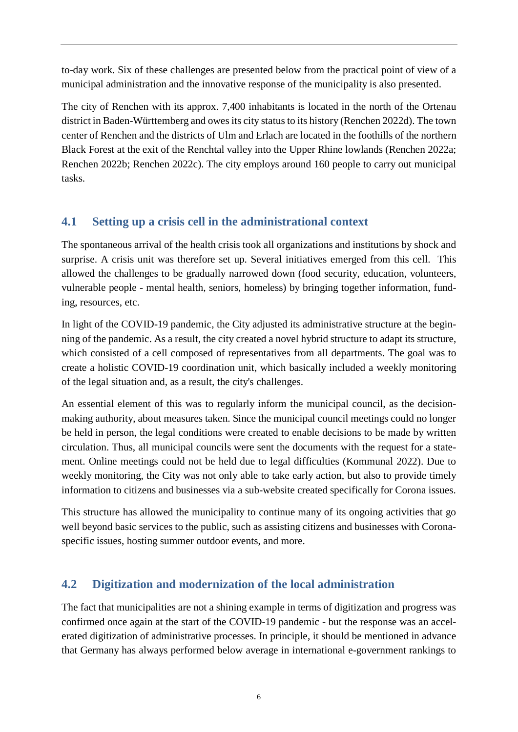to-day work. Six of these challenges are presented below from the practical point of view of a municipal administration and the innovative response of the municipality is also presented.

The city of Renchen with its approx. 7,400 inhabitants is located in the north of the Ortenau district in Baden-Württemberg and owes its city status to its history (Renchen 2022d). The town center of Renchen and the districts of Ulm and Erlach are located in the foothills of the northern Black Forest at the exit of the Renchtal valley into the Upper Rhine lowlands (Renchen 2022a; Renchen 2022b; Renchen 2022c). The city employs around 160 people to carry out municipal tasks.

## **4.1 Setting up a crisis cell in the administrational context**

The spontaneous arrival of the health crisis took all organizations and institutions by shock and surprise. A crisis unit was therefore set up. Several initiatives emerged from this cell. This allowed the challenges to be gradually narrowed down (food security, education, volunteers, vulnerable people - mental health, seniors, homeless) by bringing together information, funding, resources, etc.

In light of the COVID-19 pandemic, the City adjusted its administrative structure at the beginning of the pandemic. As a result, the city created a novel hybrid structure to adapt its structure, which consisted of a cell composed of representatives from all departments. The goal was to create a holistic COVID-19 coordination unit, which basically included a weekly monitoring of the legal situation and, as a result, the city's challenges.

An essential element of this was to regularly inform the municipal council, as the decisionmaking authority, about measures taken. Since the municipal council meetings could no longer be held in person, the legal conditions were created to enable decisions to be made by written circulation. Thus, all municipal councils were sent the documents with the request for a statement. Online meetings could not be held due to legal difficulties (Kommunal 2022). Due to weekly monitoring, the City was not only able to take early action, but also to provide timely information to citizens and businesses via a sub-website created specifically for Corona issues.

This structure has allowed the municipality to continue many of its ongoing activities that go well beyond basic services to the public, such as assisting citizens and businesses with Coronaspecific issues, hosting summer outdoor events, and more.

## **4.2 Digitization and modernization of the local administration**

The fact that municipalities are not a shining example in terms of digitization and progress was confirmed once again at the start of the COVID-19 pandemic - but the response was an accelerated digitization of administrative processes. In principle, it should be mentioned in advance that Germany has always performed below average in international e-government rankings to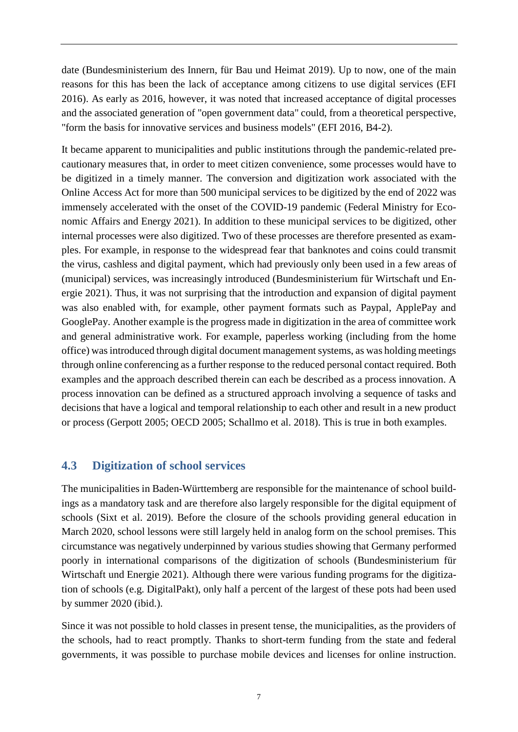date (Bundesministerium des Innern, für Bau und Heimat 2019). Up to now, one of the main reasons for this has been the lack of acceptance among citizens to use digital services (EFI 2016). As early as 2016, however, it was noted that increased acceptance of digital processes and the associated generation of "open government data" could, from a theoretical perspective, "form the basis for innovative services and business models" (EFI 2016, B4-2).

It became apparent to municipalities and public institutions through the pandemic-related precautionary measures that, in order to meet citizen convenience, some processes would have to be digitized in a timely manner. The conversion and digitization work associated with the Online Access Act for more than 500 municipal services to be digitized by the end of 2022 was immensely accelerated with the onset of the COVID-19 pandemic (Federal Ministry for Economic Affairs and Energy 2021). In addition to these municipal services to be digitized, other internal processes were also digitized. Two of these processes are therefore presented as examples. For example, in response to the widespread fear that banknotes and coins could transmit the virus, cashless and digital payment, which had previously only been used in a few areas of (municipal) services, was increasingly introduced (Bundesministerium für Wirtschaft und Energie 2021). Thus, it was not surprising that the introduction and expansion of digital payment was also enabled with, for example, other payment formats such as Paypal, ApplePay and GooglePay. Another example is the progress made in digitization in the area of committee work and general administrative work. For example, paperless working (including from the home office) was introduced through digital document management systems, as was holding meetings through online conferencing as a further response to the reduced personal contact required. Both examples and the approach described therein can each be described as a process innovation. A process innovation can be defined as a structured approach involving a sequence of tasks and decisions that have a logical and temporal relationship to each other and result in a new product or process (Gerpott 2005; OECD 2005; Schallmo et al. 2018). This is true in both examples.

#### **4.3 Digitization of school services**

The municipalities in Baden-Württemberg are responsible for the maintenance of school buildings as a mandatory task and are therefore also largely responsible for the digital equipment of schools (Sixt et al. 2019). Before the closure of the schools providing general education in March 2020, school lessons were still largely held in analog form on the school premises. This circumstance was negatively underpinned by various studies showing that Germany performed poorly in international comparisons of the digitization of schools (Bundesministerium für Wirtschaft und Energie 2021). Although there were various funding programs for the digitization of schools (e.g. DigitalPakt), only half a percent of the largest of these pots had been used by summer 2020 (ibid.).

Since it was not possible to hold classes in present tense, the municipalities, as the providers of the schools, had to react promptly. Thanks to short-term funding from the state and federal governments, it was possible to purchase mobile devices and licenses for online instruction.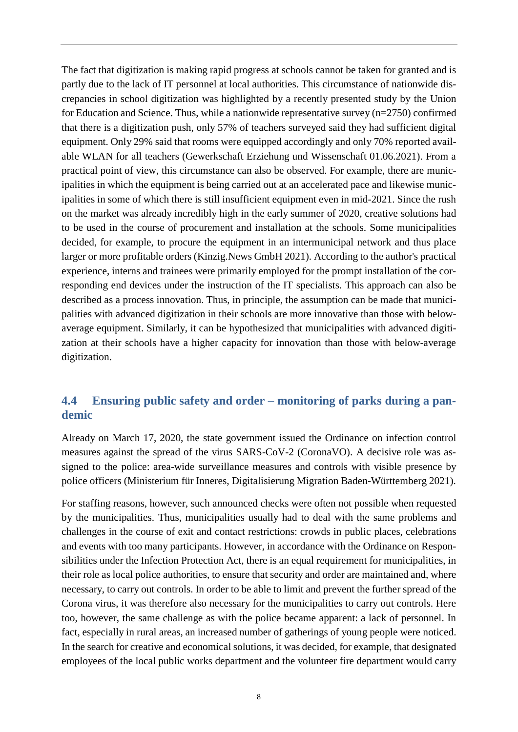The fact that digitization is making rapid progress at schools cannot be taken for granted and is partly due to the lack of IT personnel at local authorities. This circumstance of nationwide discrepancies in school digitization was highlighted by a recently presented study by the Union for Education and Science. Thus, while a nationwide representative survey (n=2750) confirmed that there is a digitization push, only 57% of teachers surveyed said they had sufficient digital equipment. Only 29% said that rooms were equipped accordingly and only 70% reported available WLAN for all teachers (Gewerkschaft Erziehung und Wissenschaft 01.06.2021). From a practical point of view, this circumstance can also be observed. For example, there are municipalities in which the equipment is being carried out at an accelerated pace and likewise municipalities in some of which there is still insufficient equipment even in mid-2021. Since the rush on the market was already incredibly high in the early summer of 2020, creative solutions had to be used in the course of procurement and installation at the schools. Some municipalities decided, for example, to procure the equipment in an intermunicipal network and thus place larger or more profitable orders (Kinzig.News GmbH 2021). According to the author's practical experience, interns and trainees were primarily employed for the prompt installation of the corresponding end devices under the instruction of the IT specialists. This approach can also be described as a process innovation. Thus, in principle, the assumption can be made that municipalities with advanced digitization in their schools are more innovative than those with belowaverage equipment. Similarly, it can be hypothesized that municipalities with advanced digitization at their schools have a higher capacity for innovation than those with below-average digitization.

## **4.4 Ensuring public safety and order – monitoring of parks during a pandemic**

Already on March 17, 2020, the state government issued the Ordinance on infection control measures against the spread of the virus SARS-CoV-2 (CoronaVO). A decisive role was assigned to the police: area-wide surveillance measures and controls with visible presence by police officers (Ministerium für Inneres, Digitalisierung Migration Baden-Württemberg 2021).

For staffing reasons, however, such announced checks were often not possible when requested by the municipalities. Thus, municipalities usually had to deal with the same problems and challenges in the course of exit and contact restrictions: crowds in public places, celebrations and events with too many participants. However, in accordance with the Ordinance on Responsibilities under the Infection Protection Act, there is an equal requirement for municipalities, in their role as local police authorities, to ensure that security and order are maintained and, where necessary, to carry out controls. In order to be able to limit and prevent the further spread of the Corona virus, it was therefore also necessary for the municipalities to carry out controls. Here too, however, the same challenge as with the police became apparent: a lack of personnel. In fact, especially in rural areas, an increased number of gatherings of young people were noticed. In the search for creative and economical solutions, it was decided, for example, that designated employees of the local public works department and the volunteer fire department would carry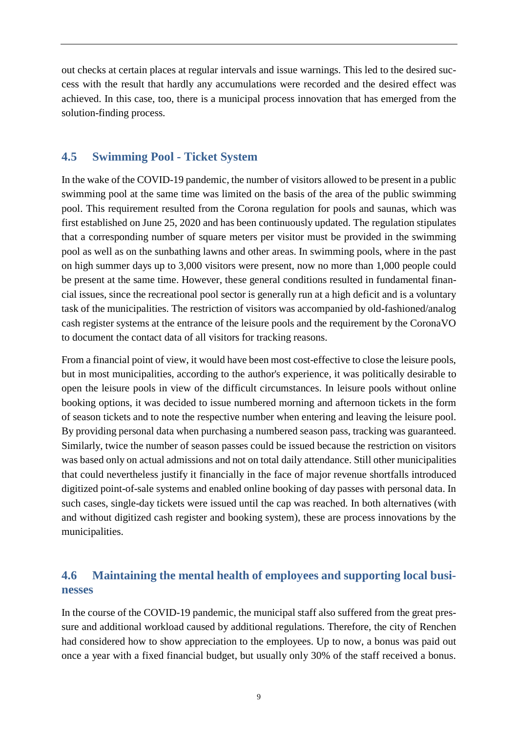out checks at certain places at regular intervals and issue warnings. This led to the desired success with the result that hardly any accumulations were recorded and the desired effect was achieved. In this case, too, there is a municipal process innovation that has emerged from the solution-finding process.

#### **4.5 Swimming Pool - Ticket System**

In the wake of the COVID-19 pandemic, the number of visitors allowed to be present in a public swimming pool at the same time was limited on the basis of the area of the public swimming pool. This requirement resulted from the Corona regulation for pools and saunas, which was first established on June 25, 2020 and has been continuously updated. The regulation stipulates that a corresponding number of square meters per visitor must be provided in the swimming pool as well as on the sunbathing lawns and other areas. In swimming pools, where in the past on high summer days up to 3,000 visitors were present, now no more than 1,000 people could be present at the same time. However, these general conditions resulted in fundamental financial issues, since the recreational pool sector is generally run at a high deficit and is a voluntary task of the municipalities. The restriction of visitors was accompanied by old-fashioned/analog cash register systems at the entrance of the leisure pools and the requirement by the CoronaVO to document the contact data of all visitors for tracking reasons.

From a financial point of view, it would have been most cost-effective to close the leisure pools, but in most municipalities, according to the author's experience, it was politically desirable to open the leisure pools in view of the difficult circumstances. In leisure pools without online booking options, it was decided to issue numbered morning and afternoon tickets in the form of season tickets and to note the respective number when entering and leaving the leisure pool. By providing personal data when purchasing a numbered season pass, tracking was guaranteed. Similarly, twice the number of season passes could be issued because the restriction on visitors was based only on actual admissions and not on total daily attendance. Still other municipalities that could nevertheless justify it financially in the face of major revenue shortfalls introduced digitized point-of-sale systems and enabled online booking of day passes with personal data. In such cases, single-day tickets were issued until the cap was reached. In both alternatives (with and without digitized cash register and booking system), these are process innovations by the municipalities.

## **4.6 Maintaining the mental health of employees and supporting local businesses**

In the course of the COVID-19 pandemic, the municipal staff also suffered from the great pressure and additional workload caused by additional regulations. Therefore, the city of Renchen had considered how to show appreciation to the employees. Up to now, a bonus was paid out once a year with a fixed financial budget, but usually only 30% of the staff received a bonus.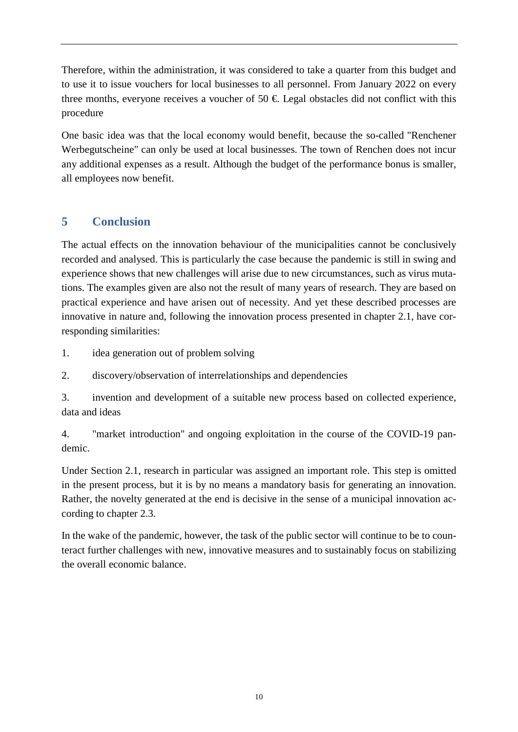Therefore, within the administration, it was considered to take a quarter from this budget and to use it to issue vouchers for local businesses to all personnel. From January 2022 on every three months, everyone receives a voucher of 50  $\epsilon$  Legal obstacles did not conflict with this procedure

One basic idea was that the local economy would benefit, because the so-called "Renchener Werbegutscheine" can only be used at local businesses. The town of Renchen does not incur any additional expenses as a result. Although the budget of the performance bonus is smaller, all employees now benefit.

## **5 Conclusion**

The actual effects on the innovation behaviour of the municipalities cannot be conclusively recorded and analysed. This is particularly the case because the pandemic is still in swing and experience shows that new challenges will arise due to new circumstances, such as virus mutations. The examples given are also not the result of many years of research. They are based on practical experience and have arisen out of necessity. And yet these described processes are innovative in nature and, following the innovation process presented in chapter 2.1, have corresponding similarities:

1. idea generation out of problem solving

2. discovery/observation of interrelationships and dependencies

3. invention and development of a suitable new process based on collected experience, data and ideas

4. "market introduction" and ongoing exploitation in the course of the COVID-19 pandemic.

Under Section 2.1, research in particular was assigned an important role. This step is omitted in the present process, but it is by no means a mandatory basis for generating an innovation. Rather, the novelty generated at the end is decisive in the sense of a municipal innovation according to chapter 2.3.

In the wake of the pandemic, however, the task of the public sector will continue to be to counteract further challenges with new, innovative measures and to sustainably focus on stabilizing the overall economic balance.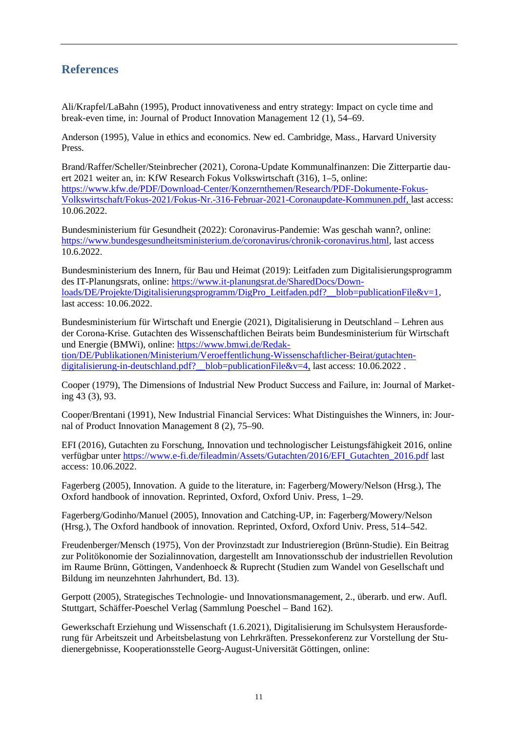#### **References**

Ali/Krapfel/LaBahn (1995), Product innovativeness and entry strategy: Impact on cycle time and break-even time, in: Journal of Product Innovation Management 12 (1), 54–69.

Anderson (1995), Value in ethics and economics. New ed. Cambridge, Mass., Harvard University Press.

Brand/Raffer/Scheller/Steinbrecher (2021), Corona-Update Kommunalfinanzen: Die Zitterpartie dauert 2021 weiter an, in: KfW Research Fokus Volkswirtschaft (316), 1–5, online: [https://www.kfw.de/PDF/Download-Center/Konzernthemen/Research/PDF-Dokumente-Fokus-](https://www.kfw.de/PDF/Download-Center/Konzernthemen/Research/PDF-Dokumente-Fokus-Volkswirtschaft/Fokus-2021/Fokus-Nr.-316-Februar-2021-Coronaupdate-Kommunen.pdf)[Volkswirtschaft/Fokus-2021/Fokus-Nr.-316-Februar-2021-Coronaupdate-Kommunen.pdf,](https://www.kfw.de/PDF/Download-Center/Konzernthemen/Research/PDF-Dokumente-Fokus-Volkswirtschaft/Fokus-2021/Fokus-Nr.-316-Februar-2021-Coronaupdate-Kommunen.pdf) last access: 10.06.2022.

Bundesministerium für Gesundheit (2022): Coronavirus-Pandemie: Was geschah wann?, online: [https://www.bundesgesundheitsministerium.de/coronavirus/chronik-coronavirus.html,](https://www.bundesgesundheitsministerium.de/coronavirus/chronik-coronavirus.html) last access 10.6.2022.

Bundesministerium des Innern, für Bau und Heimat (2019): Leitfaden zum Digitalisierungsprogramm des IT-Planungsrats, online: [https://www.it-planungsrat.de/SharedDocs/Down](https://www.it-planungsrat.de/SharedDocs/Downloads/DE/Projekte/Digitalisierungsprogramm/DigPro_Leitfaden.pdf?__blob=publicationFile&v=1)[loads/DE/Projekte/Digitalisierungsprogramm/DigPro\\_Leitfaden.pdf?\\_\\_blob=publicationFile&v=1,](https://www.it-planungsrat.de/SharedDocs/Downloads/DE/Projekte/Digitalisierungsprogramm/DigPro_Leitfaden.pdf?__blob=publicationFile&v=1) last access: 10.06.2022.

Bundesministerium für Wirtschaft und Energie (2021), Digitalisierung in Deutschland – Lehren aus der Corona-Krise. Gutachten des Wissenschaftlichen Beirats beim Bundesministerium für Wirtschaft und Energie (BMWi), online: [https://www.bmwi.de/Redak](https://www.bmwi.de/Redaktion/DE/Publikationen/Ministerium/Veroeffentlichung-Wissenschaftlicher-Beirat/gutachten-digitalisierung-in-deutschland.pdf?__blob=publicationFile&v=4)[tion/DE/Publikationen/Ministerium/Veroeffentlichung-Wissenschaftlicher-Beirat/gutachten](https://www.bmwi.de/Redaktion/DE/Publikationen/Ministerium/Veroeffentlichung-Wissenschaftlicher-Beirat/gutachten-digitalisierung-in-deutschland.pdf?__blob=publicationFile&v=4)digitalisierung-in-deutschland.pdf? blob=publicationFile&v=4, last access: 10.06.2022 .

Cooper (1979), The Dimensions of Industrial New Product Success and Failure, in: Journal of Marketing 43 (3), 93.

Cooper/Brentani (1991), New Industrial Financial Services: What Distinguishes the Winners, in: Journal of Product Innovation Management 8 (2), 75–90.

EFI (2016), Gutachten zu Forschung, Innovation und technologischer Leistungsfähigkeit 2016, online verfügbar unter [https://www.e-fi.de/fileadmin/Assets/Gutachten/2016/EFI\\_Gutachten\\_2016.pdf](https://www.e-fi.de/fileadmin/Assets/Gutachten/2016/EFI_Gutachten_2016.pdf) last access: 10.06.2022.

Fagerberg (2005), Innovation. A guide to the literature, in: Fagerberg/Mowery/Nelson (Hrsg.), The Oxford handbook of innovation. Reprinted, Oxford, Oxford Univ. Press, 1–29.

Fagerberg/Godinho/Manuel (2005), Innovation and Catching-UP, in: Fagerberg/Mowery/Nelson (Hrsg.), The Oxford handbook of innovation. Reprinted, Oxford, Oxford Univ. Press, 514–542.

Freudenberger/Mensch (1975), Von der Provinzstadt zur Industrieregion (Brünn-Studie). Ein Beitrag zur Politökonomie der Sozialinnovation, dargestellt am Innovationsschub der industriellen Revolution im Raume Brünn, Göttingen, Vandenhoeck & Ruprecht (Studien zum Wandel von Gesellschaft und Bildung im neunzehnten Jahrhundert, Bd. 13).

Gerpott (2005), Strategisches Technologie- und Innovationsmanagement, 2., überarb. und erw. Aufl. Stuttgart, Schäffer-Poeschel Verlag (Sammlung Poeschel – Band 162).

Gewerkschaft Erziehung und Wissenschaft (1.6.2021), Digitalisierung im Schulsystem Herausforderung für Arbeitszeit und Arbeitsbelastung von Lehrkräften. Pressekonferenz zur Vorstellung der Studienergebnisse, Kooperationsstelle Georg-August-Universität Göttingen, online: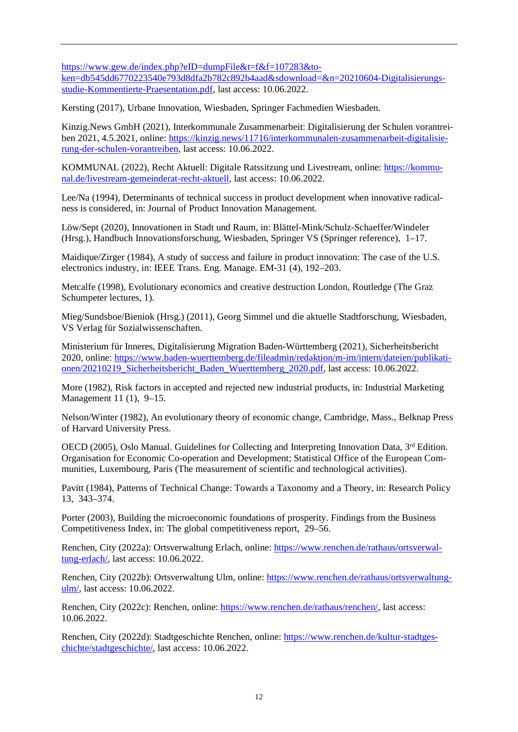[https://www.gew.de/index.php?eID=dumpFile&t=f&f=107283&to](https://www.gew.de/index.php?eID=dumpFile&t=f&f=107283&token=db545dd6770223540e793d8dfa2b782c892b4aad&sdownload=&n=20210604-Digitalisierungsstudie-Kommentierte-Praesentation.pdf)[ken=db545dd6770223540e793d8dfa2b782c892b4aad&sdownload=&n=20210604-Digitalisierungs](https://www.gew.de/index.php?eID=dumpFile&t=f&f=107283&token=db545dd6770223540e793d8dfa2b782c892b4aad&sdownload=&n=20210604-Digitalisierungsstudie-Kommentierte-Praesentation.pdf)[studie-Kommentierte-Praesentation.pdf,](https://www.gew.de/index.php?eID=dumpFile&t=f&f=107283&token=db545dd6770223540e793d8dfa2b782c892b4aad&sdownload=&n=20210604-Digitalisierungsstudie-Kommentierte-Praesentation.pdf) last access: 10.06.2022.

Kersting (2017), Urbane Innovation, Wiesbaden, Springer Fachmedien Wiesbaden.

Kinzig.News GmbH (2021), Interkommunale Zusammenarbeit: Digitalisierung der Schulen vorantreiben 2021, 4.5.2021, online: [https://kinzig.news/11716/interkommunalen-zusammenarbeit-digitalisie](https://kinzig.news/11716/interkommunalen-zusammenarbeit-digitalisierung-der-schulen-vorantreiben)[rung-der-schulen-vorantreiben,](https://kinzig.news/11716/interkommunalen-zusammenarbeit-digitalisierung-der-schulen-vorantreiben) last access: 10.06.2022.

KOMMUNAL (2022), Recht Aktuell: Digitale Ratssitzung und Livestream, online: [https://kommu](https://kommunal.de/livestream-gemeinderat-recht-aktuell)[nal.de/livestream-gemeinderat-recht-aktuell,](https://kommunal.de/livestream-gemeinderat-recht-aktuell) last access: 10.06.2022.

Lee/Na (1994), Determinants of technical success in product development when innovative radicalness is considered, in: Journal of Product Innovation Management.

Löw/Sept (2020), Innovationen in Stadt und Raum, in: Blättel-Mink/Schulz-Schaeffer/Windeler (Hrsg.), Handbuch Innovationsforschung, Wiesbaden, Springer VS (Springer reference), 1–17.

Maidique/Zirger (1984), A study of success and failure in product innovation: The case of the U.S. electronics industry, in: IEEE Trans. Eng. Manage. EM-31 (4), 192–203.

Metcalfe (1998), Evolutionary economics and creative destruction London, Routledge (The Graz Schumpeter lectures, 1).

Mieg/Sundsboe/Bieniok (Hrsg.) (2011), Georg Simmel und die aktuelle Stadtforschung, Wiesbaden, VS Verlag für Sozialwissenschaften.

Ministerium für Inneres, Digitalisierung Migration Baden-Württemberg (2021), Sicherheitsbericht 2020, online: [https://www.baden-wuerttemberg.de/fileadmin/redaktion/m-im/intern/dateien/publikati](https://www.baden-wuerttemberg.de/fileadmin/redaktion/m-im/intern/dateien/publikationen/20210219_Sicherheitsbericht_Baden_Wuerttemberg_2020.pdf)[onen/20210219\\_Sicherheitsbericht\\_Baden\\_Wuerttemberg\\_2020.pdf,](https://www.baden-wuerttemberg.de/fileadmin/redaktion/m-im/intern/dateien/publikationen/20210219_Sicherheitsbericht_Baden_Wuerttemberg_2020.pdf) last access: 10.06.2022.

More (1982), Risk factors in accepted and rejected new industrial products, in: Industrial Marketing Management 11 (1), 9–15.

Nelson/Winter (1982), An evolutionary theory of economic change, Cambridge, Mass., Belknap Press of Harvard University Press.

OECD (2005), Oslo Manual. Guidelines for Collecting and Interpreting Innovation Data, 3<sup>rd</sup> Edition. Organisation for Economic Co-operation and Development; Statistical Office of the European Communities, Luxembourg, Paris (The measurement of scientific and technological activities).

Pavitt (1984), Patterns of Technical Change: Towards a Taxonomy and a Theory, in: Research Policy 13, 343–374.

Porter (2003), Building the microeconomic foundations of prosperity. Findings from the Business Competitiveness Index, in: The global competitiveness report, 29–56.

Renchen, City (2022a): Ortsverwaltung Erlach, online: [https://www.renchen.de/rathaus/ortsverwal](https://www.renchen.de/rathaus/ortsverwaltung-erlach/)[tung-erlach/,](https://www.renchen.de/rathaus/ortsverwaltung-erlach/) last access: 10.06.2022.

Renchen, City (2022b): Ortsverwaltung Ulm, online: [https://www.renchen.de/rathaus/ortsverwaltung](https://www.renchen.de/rathaus/ortsverwaltung-ulm/)[ulm/,](https://www.renchen.de/rathaus/ortsverwaltung-ulm/) last access: 10.06.2022.

Renchen, City (2022c): Renchen, online: [https://www.renchen.de/rathaus/renchen/,](https://www.renchen.de/rathaus/renchen/) last access: 10.06.2022.

Renchen, City (2022d): Stadtgeschichte Renchen, online: [https://www.renchen.de/kultur-stadtges](https://www.renchen.de/kultur-stadtgeschichte/stadtgeschichte/)[chichte/stadtgeschichte/,](https://www.renchen.de/kultur-stadtgeschichte/stadtgeschichte/) last access: 10.06.2022.